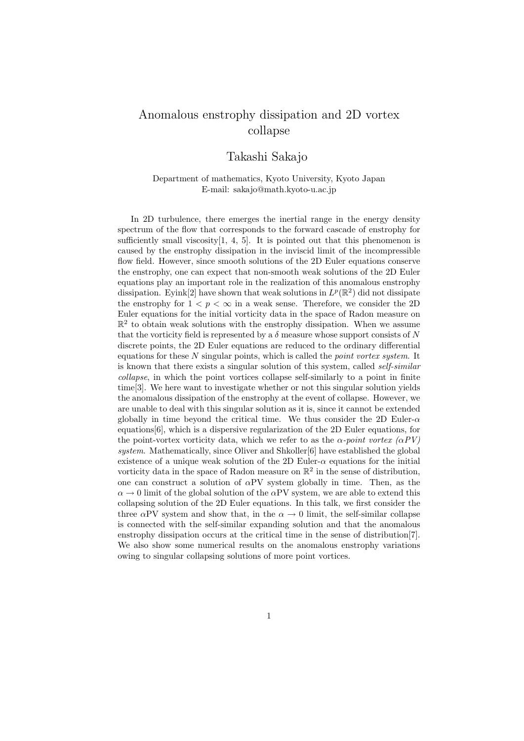## Anomalous enstrophy dissipation and 2D vortex collapse

## Takashi Sakajo

Department of mathematics, Kyoto University, Kyoto Japan E-mail: sakajo@math.kyoto-u.ac.jp

In 2D turbulence, there emerges the inertial range in the energy density spectrum of the flow that corresponds to the forward cascade of enstrophy for sufficiently small viscosity $[1, 4, 5]$ . It is pointed out that this phenomenon is caused by the enstrophy dissipation in the inviscid limit of the incompressible flow field. However, since smooth solutions of the 2D Euler equations conserve the enstrophy, one can expect that non-smooth weak solutions of the 2D Euler equations play an important role in the realization of this anomalous enstrophy dissipation. Eyink<sup>[2]</sup> have shown that weak solutions in  $L^p(\mathbb{R}^2)$  did not dissipate the enstrophy for  $1 < p < \infty$  in a weak sense. Therefore, we consider the 2D Euler equations for the initial vorticity data in the space of Radon measure on  $\mathbb{R}^2$  to obtain weak solutions with the enstrophy dissipation. When we assume that the vorticity field is represented by a  $\delta$  measure whose support consists of N discrete points, the 2D Euler equations are reduced to the ordinary differential equations for these *N* singular points, which is called the *point vortex system*. It is known that there exists a singular solution of this system, called *self-similar collapse*, in which the point vortices collapse self-similarly to a point in finite time[3]. We here want to investigate whether or not this singular solution yields the anomalous dissipation of the enstrophy at the event of collapse. However, we are unable to deal with this singular solution as it is, since it cannot be extended globally in time beyond the critical time. We thus consider the 2D Euler-*α* equations[6], which is a dispersive regularization of the 2D Euler equations, for the point-vortex vorticity data, which we refer to as the  $\alpha$ -point vortex ( $\alpha PV$ ) *system*. Mathematically, since Oliver and Shkoller[6] have established the global existence of a unique weak solution of the 2D Euler- $\alpha$  equations for the initial vorticity data in the space of Radon measure on  $\mathbb{R}^2$  in the sense of distribution, one can construct a solution of *α*PV system globally in time. Then, as the  $\alpha \rightarrow 0$  limit of the global solution of the *α*PV system, we are able to extend this collapsing solution of the 2D Euler equations. In this talk, we first consider the three  $\alpha$ PV system and show that, in the  $\alpha \rightarrow 0$  limit, the self-similar collapse is connected with the self-similar expanding solution and that the anomalous enstrophy dissipation occurs at the critical time in the sense of distribution[7]. We also show some numerical results on the anomalous enstrophy variations owing to singular collapsing solutions of more point vortices.